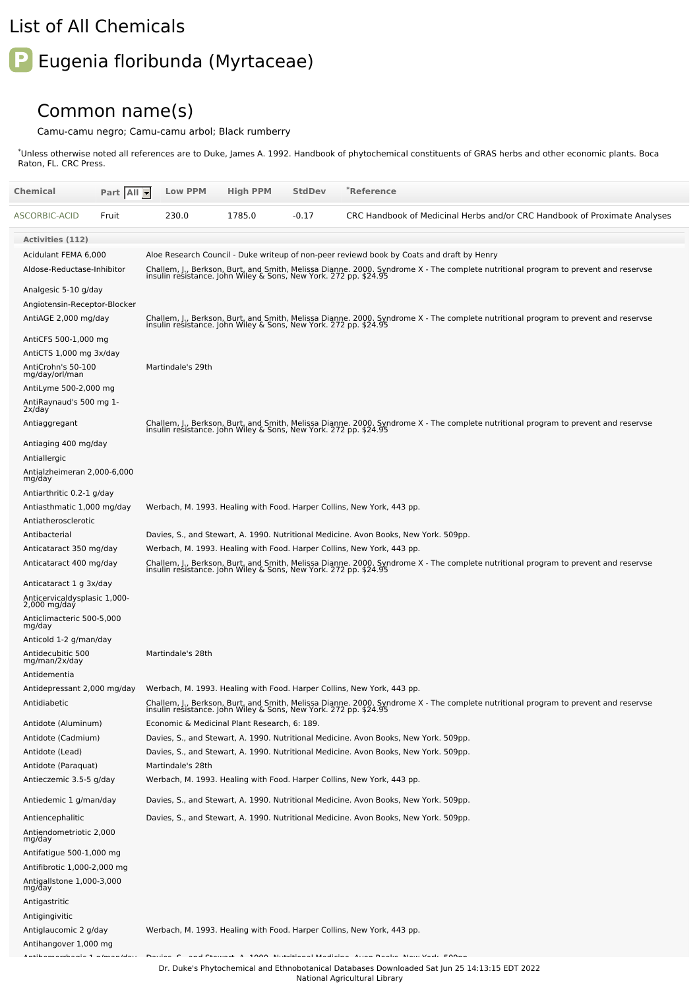## List of All Chemicals

## **P** Eugenia floribunda (Myrtaceae)

## Common name(s)

Camu-camu negro; Camu-camu arbol; Black rumberry

\*Unless otherwise noted all references are to Duke, James A. 1992. Handbook of phytochemical constituents of GRAS herbs and other economic plants. Boca Raton, FL. CRC Press.

| Chemical                                                           | Part All | <b>Low PPM</b>    | <b>High PPM</b>                                                                                                                                                                                                                                                                                                   | <b>StdDev</b>            | *Reference                                                                                                                                                                                             |
|--------------------------------------------------------------------|----------|-------------------|-------------------------------------------------------------------------------------------------------------------------------------------------------------------------------------------------------------------------------------------------------------------------------------------------------------------|--------------------------|--------------------------------------------------------------------------------------------------------------------------------------------------------------------------------------------------------|
| ASCORBIC-ACID                                                      | Fruit    | 230.0             | 1785.0                                                                                                                                                                                                                                                                                                            | $-0.17$                  | CRC Handbook of Medicinal Herbs and/or CRC Handbook of Proximate Analyses                                                                                                                              |
| <b>Activities (112)</b>                                            |          |                   |                                                                                                                                                                                                                                                                                                                   |                          |                                                                                                                                                                                                        |
| Acidulant FEMA 6,000                                               |          |                   |                                                                                                                                                                                                                                                                                                                   |                          | Aloe Research Council - Duke writeup of non-peer reviewd book by Coats and draft by Henry                                                                                                              |
| Aldose-Reductase-Inhibitor                                         |          |                   |                                                                                                                                                                                                                                                                                                                   |                          | Challem, J., Berkson, Burt, and Smith, Melissa Dianne. 2000. Syndrome X - The complete nutritional program to prevent and reservse<br>insulin resistance. John Wiley & Sons, New York. 272 pp. \$24.95 |
| Analgesic 5-10 g/day                                               |          |                   |                                                                                                                                                                                                                                                                                                                   |                          |                                                                                                                                                                                                        |
| Angiotensin-Receptor-Blocker                                       |          |                   |                                                                                                                                                                                                                                                                                                                   |                          |                                                                                                                                                                                                        |
| AntiAGE 2,000 mg/day                                               |          |                   |                                                                                                                                                                                                                                                                                                                   |                          | Challem, J., Berkson, Burt, and Smith, Melissa Dianne. 2000. Syndrome X - The complete nutritional program to prevent and reservse<br>insulin resistance. John Wiley & Sons, New York. 272 pp. \$24.95 |
| AntiCFS 500-1,000 mg                                               |          |                   |                                                                                                                                                                                                                                                                                                                   |                          |                                                                                                                                                                                                        |
| AntiCTS 1,000 mg 3x/day                                            |          |                   |                                                                                                                                                                                                                                                                                                                   |                          |                                                                                                                                                                                                        |
| AntiCrohn's 50-100<br>mg/day/orl/man                               |          | Martindale's 29th |                                                                                                                                                                                                                                                                                                                   |                          |                                                                                                                                                                                                        |
| AntiLyme 500-2,000 mg                                              |          |                   |                                                                                                                                                                                                                                                                                                                   |                          |                                                                                                                                                                                                        |
| AntiRaynaud's 500 mg 1-<br>2x/day                                  |          |                   |                                                                                                                                                                                                                                                                                                                   |                          |                                                                                                                                                                                                        |
| Antiaggregant                                                      |          |                   |                                                                                                                                                                                                                                                                                                                   |                          | Challem, J., Berkson, Burt, and Smith, Melissa Dianne. 2000. Syndrome X - The complete nutritional program to prevent and reservse<br>insulin resistance. John Wiley & Sons, New York. 272 pp. \$24.95 |
| Antiaging 400 mg/day                                               |          |                   |                                                                                                                                                                                                                                                                                                                   |                          |                                                                                                                                                                                                        |
| Antiallergic<br>Antialzheimeran 2,000-6,000                        |          |                   |                                                                                                                                                                                                                                                                                                                   |                          |                                                                                                                                                                                                        |
| mg/day<br>Antiarthritic 0.2-1 g/day                                |          |                   |                                                                                                                                                                                                                                                                                                                   |                          |                                                                                                                                                                                                        |
| Antiasthmatic 1,000 mg/day                                         |          |                   |                                                                                                                                                                                                                                                                                                                   |                          | Werbach, M. 1993. Healing with Food. Harper Collins, New York, 443 pp.                                                                                                                                 |
| Antiatherosclerotic                                                |          |                   |                                                                                                                                                                                                                                                                                                                   |                          |                                                                                                                                                                                                        |
| Antibacterial                                                      |          |                   |                                                                                                                                                                                                                                                                                                                   |                          | Davies, S., and Stewart, A. 1990. Nutritional Medicine. Avon Books, New York. 509pp.                                                                                                                   |
| Anticataract 350 mg/day                                            |          |                   |                                                                                                                                                                                                                                                                                                                   |                          | Werbach, M. 1993. Healing with Food. Harper Collins, New York, 443 pp.                                                                                                                                 |
| Anticataract 400 mg/day                                            |          |                   |                                                                                                                                                                                                                                                                                                                   |                          | Challem, J., Berkson, Burt, and Smith, Melissa Dianne. 2000. Syndrome X - The complete nutritional program to prevent and reservse<br>insulin resistance. John Wiley & Sons, New York. 272 pp. \$24.95 |
| Anticataract 1 g 3x/day                                            |          |                   |                                                                                                                                                                                                                                                                                                                   |                          |                                                                                                                                                                                                        |
| Anticervicaldysplasic 1,000-<br>$2,000$ mg/day                     |          |                   |                                                                                                                                                                                                                                                                                                                   |                          |                                                                                                                                                                                                        |
| Anticlimacteric 500-5,000<br>mg/day                                |          |                   |                                                                                                                                                                                                                                                                                                                   |                          |                                                                                                                                                                                                        |
| Anticold 1-2 g/man/day                                             |          |                   |                                                                                                                                                                                                                                                                                                                   |                          |                                                                                                                                                                                                        |
| Antidecubitic 500<br>mg/man/2x/day                                 |          | Martindale's 28th |                                                                                                                                                                                                                                                                                                                   |                          |                                                                                                                                                                                                        |
| Antidementia                                                       |          |                   |                                                                                                                                                                                                                                                                                                                   |                          |                                                                                                                                                                                                        |
| Antidepressant 2,000 mg/day                                        |          |                   |                                                                                                                                                                                                                                                                                                                   |                          | Werbach, M. 1993. Healing with Food. Harper Collins, New York, 443 pp.                                                                                                                                 |
| Antidiabetic                                                       |          |                   | insulin resistance. John Wiley & Sons, New York. 272 pp. \$24.95                                                                                                                                                                                                                                                  |                          | Challem, J., Berkson, Burt, and Smith, Melissa Dianne. 2000. Syndrome X - The complete nutritional program to prevent and reservse                                                                     |
| Antidote (Aluminum)                                                |          |                   | Economic & Medicinal Plant Research, 6: 189.                                                                                                                                                                                                                                                                      |                          |                                                                                                                                                                                                        |
| Antidote (Cadmium)                                                 |          |                   |                                                                                                                                                                                                                                                                                                                   |                          | Davies, S., and Stewart, A. 1990. Nutritional Medicine. Avon Books, New York. 509pp.                                                                                                                   |
| Antidote (Lead)                                                    |          | Martindale's 28th |                                                                                                                                                                                                                                                                                                                   |                          | Davies, S., and Stewart, A. 1990. Nutritional Medicine. Avon Books, New York. 509pp.                                                                                                                   |
| Antidote (Paraquat)<br>Antieczemic 3.5-5 g/day                     |          |                   |                                                                                                                                                                                                                                                                                                                   |                          | Werbach, M. 1993. Healing with Food. Harper Collins, New York, 443 pp.                                                                                                                                 |
| Antiedemic 1 g/man/day                                             |          |                   |                                                                                                                                                                                                                                                                                                                   |                          | Davies, S., and Stewart, A. 1990. Nutritional Medicine. Avon Books, New York. 509pp.                                                                                                                   |
| Antiencephalitic                                                   |          |                   |                                                                                                                                                                                                                                                                                                                   |                          | Davies, S., and Stewart, A. 1990. Nutritional Medicine. Avon Books, New York. 509pp.                                                                                                                   |
| Antiendometriotic 2,000<br>mg/day                                  |          |                   |                                                                                                                                                                                                                                                                                                                   |                          |                                                                                                                                                                                                        |
| Antifatigue 500-1,000 mg                                           |          |                   |                                                                                                                                                                                                                                                                                                                   |                          |                                                                                                                                                                                                        |
| Antifibrotic 1,000-2,000 mg<br>Antigallstone 1,000-3,000<br>mg/day |          |                   |                                                                                                                                                                                                                                                                                                                   |                          |                                                                                                                                                                                                        |
| Antigastritic                                                      |          |                   |                                                                                                                                                                                                                                                                                                                   |                          |                                                                                                                                                                                                        |
| Antigingivitic                                                     |          |                   |                                                                                                                                                                                                                                                                                                                   |                          |                                                                                                                                                                                                        |
| Antiglaucomic 2 g/day                                              |          |                   |                                                                                                                                                                                                                                                                                                                   |                          | Werbach, M. 1993. Healing with Food. Harper Collins, New York, 443 pp.                                                                                                                                 |
| Antihangover 1,000 mg                                              |          |                   |                                                                                                                                                                                                                                                                                                                   |                          |                                                                                                                                                                                                        |
| $\mathbf{r}$ and $\mathbf{r}$<br>the contract of the contract of   |          |                   | $\ddot{ }$ $\ddot{ }$ $\ddot{ }$ $\ddot{ }$ $\ddot{ }$ $\ddot{ }$ $\ddot{ }$ $\ddot{ }$ $\ddot{ }$ $\ddot{ }$ $\ddot{ }$ $\ddot{ }$ $\ddot{ }$ $\ddot{ }$ $\ddot{ }$ $\ddot{ }$ $\ddot{ }$ $\ddot{ }$ $\ddot{ }$ $\ddot{ }$ $\ddot{ }$ $\ddot{ }$ $\ddot{ }$ $\ddot{ }$ $\ddot{ }$ $\ddot{ }$ $\ddot{ }$ $\ddot{$ | and and the state of the |                                                                                                                                                                                                        |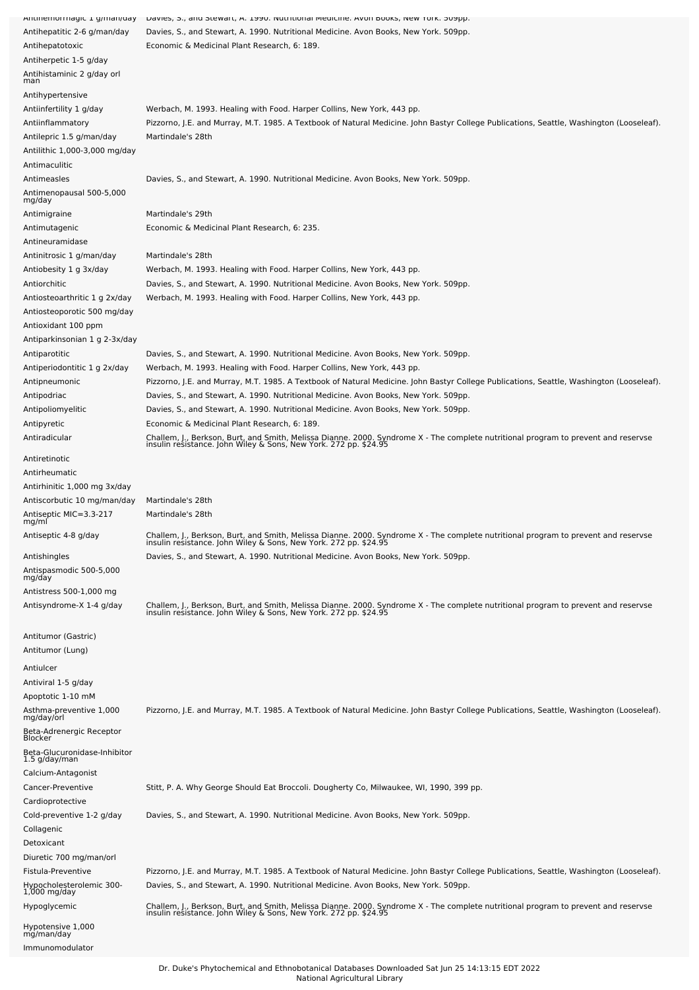| Antinemonnagic 1 g/man/uay               | Davies, 5., and Stewart, A. 1990. Nuthtional Medicine. Avon Dooks, New Tork. Subpl.                                                                                                                    |
|------------------------------------------|--------------------------------------------------------------------------------------------------------------------------------------------------------------------------------------------------------|
| Antihepatitic 2-6 g/man/day              | Davies, S., and Stewart, A. 1990. Nutritional Medicine. Avon Books, New York. 509pp.                                                                                                                   |
| Antihepatotoxic                          | Economic & Medicinal Plant Research, 6: 189.                                                                                                                                                           |
| Antiherpetic 1-5 g/day                   |                                                                                                                                                                                                        |
|                                          |                                                                                                                                                                                                        |
| Antihistaminic 2 g/day orl<br>man        |                                                                                                                                                                                                        |
| Antihypertensive                         |                                                                                                                                                                                                        |
|                                          |                                                                                                                                                                                                        |
| Antiinfertility 1 g/day                  | Werbach, M. 1993. Healing with Food. Harper Collins, New York, 443 pp.                                                                                                                                 |
| Antiinflammatory                         | Pizzorno, J.E. and Murray, M.T. 1985. A Textbook of Natural Medicine. John Bastyr College Publications, Seattle, Washington (Looseleaf).                                                               |
| Antilepric 1.5 g/man/day                 | Martindale's 28th                                                                                                                                                                                      |
| Antilithic 1,000-3,000 mg/day            |                                                                                                                                                                                                        |
| Antimaculitic                            |                                                                                                                                                                                                        |
| Antimeasles                              | Davies, S., and Stewart, A. 1990. Nutritional Medicine. Avon Books, New York. 509pp.                                                                                                                   |
| Antimenopausal 500-5,000                 |                                                                                                                                                                                                        |
| mg/day                                   |                                                                                                                                                                                                        |
| Antimigraine                             | Martindale's 29th                                                                                                                                                                                      |
| Antimutagenic                            | Economic & Medicinal Plant Research, 6: 235.                                                                                                                                                           |
|                                          |                                                                                                                                                                                                        |
| Antineuramidase                          |                                                                                                                                                                                                        |
| Antinitrosic 1 g/man/day                 | Martindale's 28th                                                                                                                                                                                      |
| Antiobesity 1 g 3x/day                   | Werbach, M. 1993. Healing with Food. Harper Collins, New York, 443 pp.                                                                                                                                 |
| Antiorchitic                             | Davies, S., and Stewart, A. 1990. Nutritional Medicine. Avon Books, New York. 509pp.                                                                                                                   |
| Antiosteoarthritic 1 g 2x/day            | Werbach, M. 1993. Healing with Food. Harper Collins, New York, 443 pp.                                                                                                                                 |
| Antiosteoporotic 500 mg/day              |                                                                                                                                                                                                        |
| Antioxidant 100 ppm                      |                                                                                                                                                                                                        |
|                                          |                                                                                                                                                                                                        |
| Antiparkinsonian 1 g 2-3x/day            |                                                                                                                                                                                                        |
| Antiparotitic                            | Davies, S., and Stewart, A. 1990. Nutritional Medicine. Avon Books, New York. 509pp.                                                                                                                   |
| Antiperiodontitic 1 g 2x/day             | Werbach, M. 1993. Healing with Food. Harper Collins, New York, 443 pp.                                                                                                                                 |
| Antipneumonic                            | Pizzorno, J.E. and Murray, M.T. 1985. A Textbook of Natural Medicine. John Bastyr College Publications, Seattle, Washington (Looseleaf).                                                               |
| Antipodriac                              | Davies, S., and Stewart, A. 1990. Nutritional Medicine. Avon Books, New York. 509pp.                                                                                                                   |
| Antipoliomyelitic                        | Davies, S., and Stewart, A. 1990. Nutritional Medicine. Avon Books, New York. 509pp.                                                                                                                   |
|                                          |                                                                                                                                                                                                        |
| Antipyretic                              | Economic & Medicinal Plant Research, 6: 189.                                                                                                                                                           |
| Antiradicular                            | Challem, J., Berkson, Burt, and Smith, Melissa Dianne. 2000. Syndrome X - The complete nutritional program to prevent and reservse<br>insulin resistance. John Wiley & Sons, New York. 272 pp. \$24.95 |
|                                          |                                                                                                                                                                                                        |
| Antiretinotic                            |                                                                                                                                                                                                        |
| Antirheumatic                            |                                                                                                                                                                                                        |
| Antirhinitic 1,000 mg 3x/day             |                                                                                                                                                                                                        |
| Antiscorbutic 10 mg/man/day              | Martindale's 28th                                                                                                                                                                                      |
| Antiseptic MIC=3.3-217                   | Martindale's 28th                                                                                                                                                                                      |
| mg/ml                                    |                                                                                                                                                                                                        |
| Antiseptic 4-8 g/day                     | Challem, J., Berkson, Burt, and Smith, Melissa Dianne. 2000. Syndrome X - The complete nutritional program to prevent and reservse<br>insulin resistance. John Wiley & Sons, New York. 272 pp. \$24.9  |
|                                          |                                                                                                                                                                                                        |
| Antishingles                             | Davies, S., and Stewart, A. 1990. Nutritional Medicine. Avon Books, New York. 509pp.                                                                                                                   |
| Antispasmodic 500-5,000<br>mg/day        |                                                                                                                                                                                                        |
|                                          |                                                                                                                                                                                                        |
| Antistress 500-1,000 mg                  |                                                                                                                                                                                                        |
| Antisyndrome-X 1-4 g/day                 | Challem, J., Berkson, Burt, and Smith, Melissa Dianne. 2000. Syndrome X - The complete nutritional program to prevent and reservse<br>insulin resistance. John Wiley & Sons, New York. 272 pp. \$24.95 |
|                                          |                                                                                                                                                                                                        |
| Antitumor (Gastric)                      |                                                                                                                                                                                                        |
| Antitumor (Lung)                         |                                                                                                                                                                                                        |
|                                          |                                                                                                                                                                                                        |
| Antiulcer                                |                                                                                                                                                                                                        |
| Antiviral 1-5 g/day                      |                                                                                                                                                                                                        |
| Apoptotic 1-10 mM                        |                                                                                                                                                                                                        |
| Asthma-preventive 1,000                  | Pizzorno, J.E. and Murray, M.T. 1985. A Textbook of Natural Medicine. John Bastyr College Publications, Seattle, Washington (Looseleaf).                                                               |
| mg/day/orl                               |                                                                                                                                                                                                        |
|                                          |                                                                                                                                                                                                        |
| Beta-Adrenergic Receptor<br>Blocker      |                                                                                                                                                                                                        |
| Beta-Glucuronidase-Inhibitor             |                                                                                                                                                                                                        |
| 1.5 g/day/man                            |                                                                                                                                                                                                        |
| Calcium-Antagonist                       |                                                                                                                                                                                                        |
|                                          |                                                                                                                                                                                                        |
| Cancer-Preventive                        | Stitt, P. A. Why George Should Eat Broccoli. Dougherty Co, Milwaukee, WI, 1990, 399 pp.                                                                                                                |
| Cardioprotective                         |                                                                                                                                                                                                        |
|                                          |                                                                                                                                                                                                        |
| Cold-preventive 1-2 g/day                | Davies, S., and Stewart, A. 1990. Nutritional Medicine. Avon Books, New York. 509pp.                                                                                                                   |
| Collagenic                               |                                                                                                                                                                                                        |
| Detoxicant                               |                                                                                                                                                                                                        |
| Diuretic 700 mg/man/orl                  |                                                                                                                                                                                                        |
| Fistula-Preventive                       | Pizzorno, J.E. and Murray, M.T. 1985. A Textbook of Natural Medicine. John Bastyr College Publications, Seattle, Washington (Looseleaf).                                                               |
|                                          | Davies, S., and Stewart, A. 1990. Nutritional Medicine. Avon Books, New York. 509pp.                                                                                                                   |
| Hypocholesterolemic 300-<br>1,000 mg/day |                                                                                                                                                                                                        |
| Hypoglycemic                             |                                                                                                                                                                                                        |
|                                          | Challem, J., Berkson, Burt, and Smith, Melissa Dianne. 2000. Syndrome X - The complete nutritional program to prevent and reservse<br>insulin resistance. John Wiley & Sons, New York. 272 pp. \$24.95 |
| Hypotensive 1,000<br>mg/man/day          |                                                                                                                                                                                                        |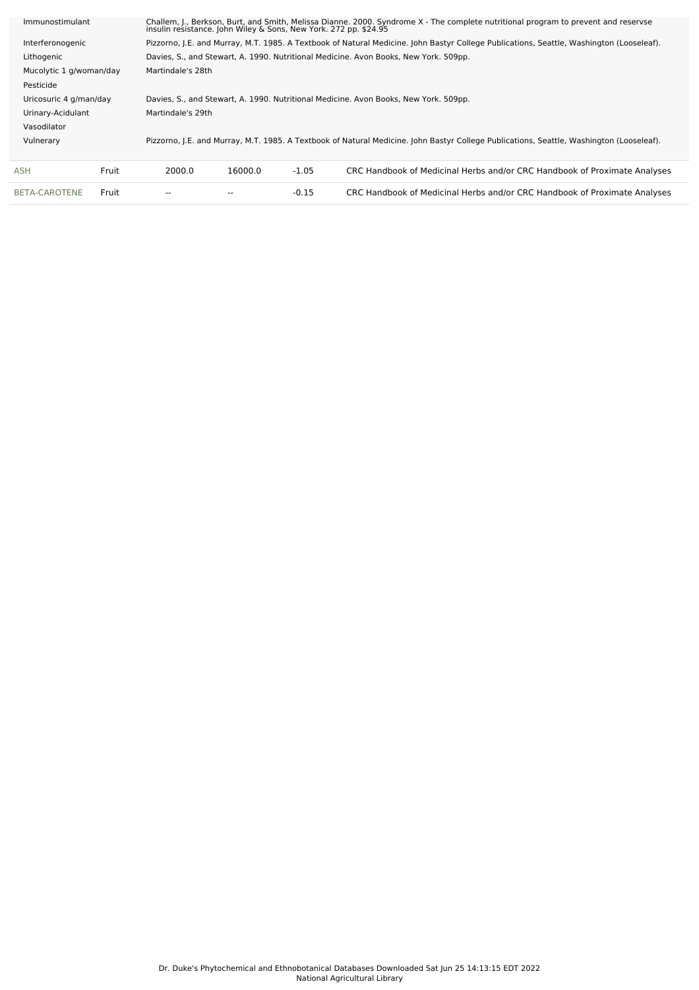| Immunostimulant         | Challem, J., Berkson, Burt, and Smith, Melissa Dianne. 2000. Syndrome X - The complete nutritional program to prevent and reservse<br>insulin resistance. John Wiley & Sons, New York. 272 pp. \$24.95 |         |         |                                                                                                                                          |  |  |  |  |
|-------------------------|--------------------------------------------------------------------------------------------------------------------------------------------------------------------------------------------------------|---------|---------|------------------------------------------------------------------------------------------------------------------------------------------|--|--|--|--|
| Interferonogenic        |                                                                                                                                                                                                        |         |         | Pizzorno, J.E. and Murray, M.T. 1985. A Textbook of Natural Medicine. John Bastyr College Publications, Seattle, Washington (Looseleaf). |  |  |  |  |
| Lithogenic              |                                                                                                                                                                                                        |         |         | Davies, S., and Stewart, A. 1990. Nutritional Medicine. Avon Books, New York. 509pp.                                                     |  |  |  |  |
| Mucolytic 1 g/woman/day | Martindale's 28th                                                                                                                                                                                      |         |         |                                                                                                                                          |  |  |  |  |
| Pesticide               |                                                                                                                                                                                                        |         |         |                                                                                                                                          |  |  |  |  |
| Uricosuric 4 g/man/day  | Davies, S., and Stewart, A. 1990. Nutritional Medicine. Avon Books, New York. 509pp.                                                                                                                   |         |         |                                                                                                                                          |  |  |  |  |
| Urinary-Acidulant       | Martindale's 29th                                                                                                                                                                                      |         |         |                                                                                                                                          |  |  |  |  |
| Vasodilator             |                                                                                                                                                                                                        |         |         |                                                                                                                                          |  |  |  |  |
| Vulnerary               | Pizzorno, J.E. and Murray, M.T. 1985. A Textbook of Natural Medicine. John Bastyr College Publications, Seattle, Washington (Looseleaf).                                                               |         |         |                                                                                                                                          |  |  |  |  |
|                         |                                                                                                                                                                                                        |         |         |                                                                                                                                          |  |  |  |  |
| Fruit<br>ASH            | 2000.0                                                                                                                                                                                                 | 16000.0 | $-1.05$ | CRC Handbook of Medicinal Herbs and/or CRC Handbook of Proximate Analyses                                                                |  |  |  |  |
| BETA-CAROTENE<br>Fruit  |                                                                                                                                                                                                        |         | $-0.15$ | CRC Handbook of Medicinal Herbs and/or CRC Handbook of Proximate Analyses                                                                |  |  |  |  |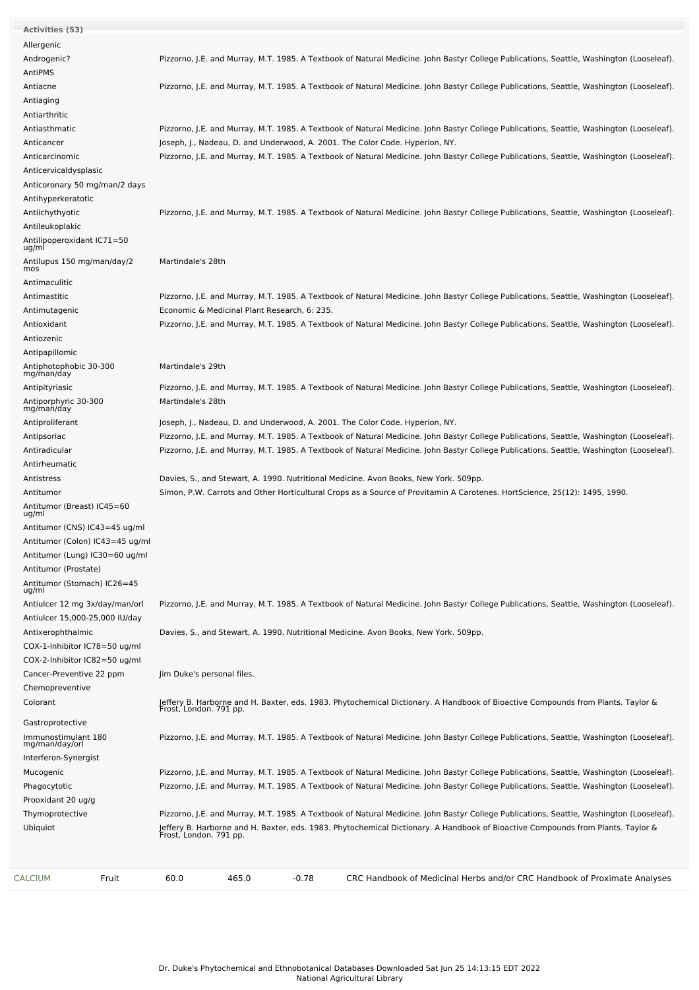| Fruit<br>CALCIUM                              | 60.0<br>465.0                                | -0.78 | CRC Handbook of Medicinal Herbs and/or CRC Handbook of Proximate Analyses                                                                                                                                                                                                                             |
|-----------------------------------------------|----------------------------------------------|-------|-------------------------------------------------------------------------------------------------------------------------------------------------------------------------------------------------------------------------------------------------------------------------------------------------------|
| Thymoprotective<br>Ubiquiot                   |                                              |       | Pizzorno, J.E. and Murray, M.T. 1985. A Textbook of Natural Medicine. John Bastyr College Publications, Seattle, Washington (Looseleaf).<br>Jeffery B. Harborne and H. Baxter, eds. 1983. Phytochemical Dictionary. A Handbook of Bioactive Compounds from Plants. Taylor &<br>Frost, London. 791 pp. |
| Prooxidant 20 ug/g                            |                                              |       |                                                                                                                                                                                                                                                                                                       |
| Phagocytotic                                  |                                              |       | Pizzorno, J.E. and Murray, M.T. 1985. A Textbook of Natural Medicine. John Bastyr College Publications, Seattle, Washington (Looseleaf).                                                                                                                                                              |
| Mucogenic                                     |                                              |       | Pizzorno, J.E. and Murray, M.T. 1985. A Textbook of Natural Medicine. John Bastyr College Publications, Seattle, Washington (Looseleaf).                                                                                                                                                              |
| Interferon-Synergist                          |                                              |       |                                                                                                                                                                                                                                                                                                       |
| Immunostimulant 180<br>mg/man/day/orl         |                                              |       | Pizzorno, J.E. and Murray, M.T. 1985. A Textbook of Natural Medicine. John Bastyr College Publications, Seattle, Washington (Looseleaf).                                                                                                                                                              |
| Gastroprotective                              |                                              |       |                                                                                                                                                                                                                                                                                                       |
| Colorant                                      | Frost, London. 791 pp.                       |       | Jeffery B. Harborne and H. Baxter, eds. 1983. Phytochemical Dictionary. A Handbook of Bioactive Compounds from Plants. Taylor &                                                                                                                                                                       |
| Chemopreventive                               |                                              |       |                                                                                                                                                                                                                                                                                                       |
| Cancer-Preventive 22 ppm                      | Jim Duke's personal files.                   |       |                                                                                                                                                                                                                                                                                                       |
| COX-2-Inhibitor IC82=50 ug/ml                 |                                              |       |                                                                                                                                                                                                                                                                                                       |
| COX-1-Inhibitor IC78=50 ug/ml                 |                                              |       |                                                                                                                                                                                                                                                                                                       |
| Antixerophthalmic                             |                                              |       | Davies, S., and Stewart, A. 1990. Nutritional Medicine. Avon Books, New York. 509pp.                                                                                                                                                                                                                  |
| Antiulcer 15,000-25,000 IU/day                |                                              |       |                                                                                                                                                                                                                                                                                                       |
| Antiulcer 12 mg 3x/day/man/orl                |                                              |       | Pizzorno, J.E. and Murray, M.T. 1985. A Textbook of Natural Medicine. John Bastyr College Publications, Seattle, Washington (Looseleaf).                                                                                                                                                              |
| Antitumor (Stomach) IC26=45<br>ug/ml          |                                              |       |                                                                                                                                                                                                                                                                                                       |
| Antitumor (Prostate)                          |                                              |       |                                                                                                                                                                                                                                                                                                       |
| Antitumor (Lung) IC30=60 ug/ml                |                                              |       |                                                                                                                                                                                                                                                                                                       |
| Antitumor (Colon) IC43=45 ug/ml               |                                              |       |                                                                                                                                                                                                                                                                                                       |
| Antitumor (CNS) IC43=45 ug/ml                 |                                              |       |                                                                                                                                                                                                                                                                                                       |
| Antitumor (Breast) IC45=60<br>ug/ml           |                                              |       |                                                                                                                                                                                                                                                                                                       |
| Antitumor                                     |                                              |       | Simon, P.W. Carrots and Other Horticultural Crops as a Source of Provitamin A Carotenes. HortScience, 25(12): 1495, 1990.                                                                                                                                                                             |
| Antistress                                    |                                              |       | Davies, S., and Stewart, A. 1990. Nutritional Medicine. Avon Books, New York. 509pp.                                                                                                                                                                                                                  |
| Antirheumatic                                 |                                              |       |                                                                                                                                                                                                                                                                                                       |
| Antiradicular                                 |                                              |       | Pizzorno, J.E. and Murray, M.T. 1985. A Textbook of Natural Medicine. John Bastyr College Publications, Seattle, Washington (Looseleaf).                                                                                                                                                              |
| Antipsoriac                                   |                                              |       | Pizzorno, J.E. and Murray, M.T. 1985. A Textbook of Natural Medicine. John Bastyr College Publications, Seattle, Washington (Looseleaf).                                                                                                                                                              |
| Antiproliferant                               |                                              |       | Joseph, J., Nadeau, D. and Underwood, A. 2001. The Color Code. Hyperion, NY.                                                                                                                                                                                                                          |
| Antiporphyric 30-300<br>mg/man/day            | Martindale's 28th                            |       |                                                                                                                                                                                                                                                                                                       |
| Antipityriasic                                |                                              |       | Pizzorno, J.E. and Murray, M.T. 1985. A Textbook of Natural Medicine. John Bastyr College Publications, Seattle, Washington (Looseleaf).                                                                                                                                                              |
| Antiphotophobic 30-300<br>mg/man/day          | Martindale's 29th                            |       |                                                                                                                                                                                                                                                                                                       |
| Antipapillomic                                |                                              |       |                                                                                                                                                                                                                                                                                                       |
| Antiozenic                                    |                                              |       |                                                                                                                                                                                                                                                                                                       |
| Antioxidant                                   |                                              |       | Pizzorno, J.E. and Murray, M.T. 1985. A Textbook of Natural Medicine. John Bastyr College Publications, Seattle, Washington (Looseleaf).                                                                                                                                                              |
| Antimutagenic                                 | Economic & Medicinal Plant Research, 6: 235. |       |                                                                                                                                                                                                                                                                                                       |
| Antimastitic                                  |                                              |       | Pizzorno, J.E. and Murray, M.T. 1985. A Textbook of Natural Medicine. John Bastyr College Publications, Seattle, Washington (Looseleaf).                                                                                                                                                              |
| Antimaculitic                                 |                                              |       |                                                                                                                                                                                                                                                                                                       |
| Antilupus 150 mg/man/day/2<br>mos             | Martindale's 28th                            |       |                                                                                                                                                                                                                                                                                                       |
| ug/ml                                         |                                              |       |                                                                                                                                                                                                                                                                                                       |
| Antileukoplakic<br>Antilipoperoxidant IC71=50 |                                              |       |                                                                                                                                                                                                                                                                                                       |
| Antiichythyotic                               |                                              |       | Pizzorno, J.E. and Murray, M.T. 1985. A Textbook of Natural Medicine. John Bastyr College Publications, Seattle, Washington (Looseleaf).                                                                                                                                                              |
| Antihyperkeratotic                            |                                              |       |                                                                                                                                                                                                                                                                                                       |
| Anticoronary 50 mg/man/2 days                 |                                              |       |                                                                                                                                                                                                                                                                                                       |
| Anticervicaldysplasic                         |                                              |       |                                                                                                                                                                                                                                                                                                       |
| Anticarcinomic                                |                                              |       | Pizzorno, J.E. and Murray, M.T. 1985. A Textbook of Natural Medicine. John Bastyr College Publications, Seattle, Washington (Looseleaf).                                                                                                                                                              |
| Anticancer                                    |                                              |       | Joseph, J., Nadeau, D. and Underwood, A. 2001. The Color Code. Hyperion, NY.                                                                                                                                                                                                                          |
| Antiasthmatic                                 |                                              |       | Pizzorno, J.E. and Murray, M.T. 1985. A Textbook of Natural Medicine. John Bastyr College Publications, Seattle, Washington (Looseleaf).                                                                                                                                                              |
| Antiarthritic                                 |                                              |       |                                                                                                                                                                                                                                                                                                       |
| Antiaging                                     |                                              |       |                                                                                                                                                                                                                                                                                                       |
| Antiacne                                      |                                              |       | Pizzorno, J.E. and Murray, M.T. 1985. A Textbook of Natural Medicine. John Bastyr College Publications, Seattle, Washington (Looseleaf).                                                                                                                                                              |
| AntiPMS                                       |                                              |       |                                                                                                                                                                                                                                                                                                       |
| Androgenic?                                   |                                              |       | Pizzorno, J.E. and Murray, M.T. 1985. A Textbook of Natural Medicine. John Bastyr College Publications, Seattle, Washington (Looseleaf).                                                                                                                                                              |
| Allergenic                                    |                                              |       |                                                                                                                                                                                                                                                                                                       |
| Activities (53)                               |                                              |       |                                                                                                                                                                                                                                                                                                       |
|                                               |                                              |       |                                                                                                                                                                                                                                                                                                       |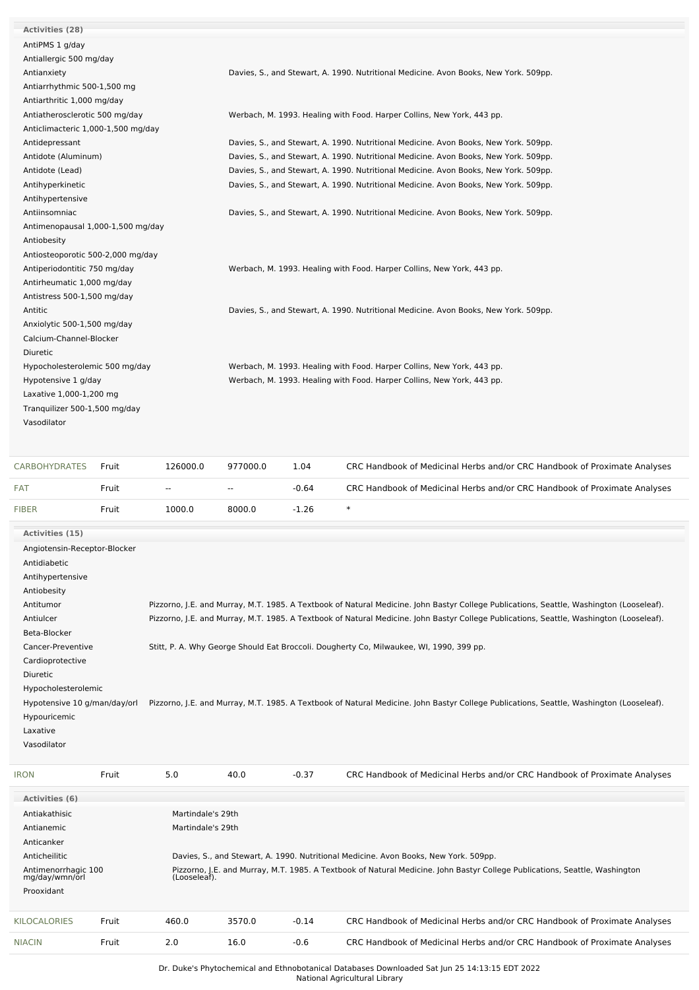| Activities (28)                    |                                                                                      |
|------------------------------------|--------------------------------------------------------------------------------------|
| AntiPMS 1 g/day                    |                                                                                      |
| Antiallergic 500 mg/day            |                                                                                      |
| Antianxiety                        | Davies, S., and Stewart, A. 1990. Nutritional Medicine. Avon Books, New York. 509pp. |
| Antiarrhythmic 500-1,500 mg        |                                                                                      |
| Antiarthritic 1,000 mg/day         |                                                                                      |
| Antiatherosclerotic 500 mg/day     | Werbach, M. 1993. Healing with Food. Harper Collins, New York, 443 pp.               |
| Anticlimacteric 1,000-1,500 mg/day |                                                                                      |
| Antidepressant                     | Davies, S., and Stewart, A. 1990. Nutritional Medicine. Avon Books, New York. 509pp. |
| Antidote (Aluminum)                | Davies, S., and Stewart, A. 1990. Nutritional Medicine. Avon Books, New York. 509pp. |
| Antidote (Lead)                    | Davies, S., and Stewart, A. 1990. Nutritional Medicine. Avon Books, New York. 509pp. |
| Antihyperkinetic                   | Davies, S., and Stewart, A. 1990. Nutritional Medicine. Avon Books, New York. 509pp. |
| Antihypertensive                   |                                                                                      |
| Antiinsomniac                      | Davies, S., and Stewart, A. 1990. Nutritional Medicine. Avon Books, New York. 509pp. |
| Antimenopausal 1,000-1,500 mg/day  |                                                                                      |
| Antiobesity                        |                                                                                      |
| Antiosteoporotic 500-2,000 mg/day  |                                                                                      |
| Antiperiodontitic 750 mg/day       | Werbach, M. 1993. Healing with Food. Harper Collins, New York, 443 pp.               |
| Antirheumatic 1,000 mg/day         |                                                                                      |
| Antistress 500-1,500 mg/day        |                                                                                      |
| Antitic                            | Davies, S., and Stewart, A. 1990. Nutritional Medicine. Avon Books, New York. 509pp. |
| Anxiolytic 500-1,500 mg/day        |                                                                                      |
| Calcium-Channel-Blocker            |                                                                                      |
| Diuretic                           |                                                                                      |
| Hypocholesterolemic 500 mg/day     | Werbach, M. 1993. Healing with Food. Harper Collins, New York, 443 pp.               |
| Hypotensive 1 g/day                | Werbach, M. 1993. Healing with Food. Harper Collins, New York, 443 pp.               |
| Laxative 1,000-1,200 mg            |                                                                                      |
| Tranquilizer 500-1,500 mg/day      |                                                                                      |
| Vasodilator                        |                                                                                      |
|                                    |                                                                                      |
|                                    |                                                                                      |
|                                    |                                                                                      |

| CARBOHYDRATES | Fruit | 126000.0      | 977000.0      | 1.04    | CRC Handbook of Medicinal Herbs and/or CRC Handbook of Proximate Analyses |
|---------------|-------|---------------|---------------|---------|---------------------------------------------------------------------------|
| <b>FAT</b>    | Fruit | $\sim$ $\sim$ | $\sim$ $\sim$ | $-0.64$ | CRC Handbook of Medicinal Herbs and/or CRC Handbook of Proximate Analyses |
| <b>FIBER</b>  | Fruit | 1000.0        | 8000.0        | $-1.26$ |                                                                           |

| <b>Activities (15)</b>       |                                                                                                                                          |
|------------------------------|------------------------------------------------------------------------------------------------------------------------------------------|
| Angiotensin-Receptor-Blocker |                                                                                                                                          |
| Antidiabetic                 |                                                                                                                                          |
| Antihypertensive             |                                                                                                                                          |
| Antiobesity                  |                                                                                                                                          |
| Antitumor                    | Pizzorno, J.E. and Murray, M.T. 1985. A Textbook of Natural Medicine. John Bastyr College Publications, Seattle, Washington (Looseleaf). |
| Antiulcer                    | Pizzorno, J.E. and Murray, M.T. 1985. A Textbook of Natural Medicine. John Bastyr College Publications, Seattle, Washington (Looseleaf). |
| Beta-Blocker                 |                                                                                                                                          |
| Cancer-Preventive            | Stitt, P. A. Why George Should Eat Broccoli. Dougherty Co, Milwaukee, WI, 1990, 399 pp.                                                  |
| Cardioprotective             |                                                                                                                                          |
| Diuretic                     |                                                                                                                                          |
| Hypocholesterolemic          |                                                                                                                                          |
| Hypotensive 10 g/man/day/orl | Pizzorno, J.E. and Murray, M.T. 1985. A Textbook of Natural Medicine. John Bastyr College Publications, Seattle, Washington (Looseleaf). |
| Hypouricemic                 |                                                                                                                                          |
| Laxative                     |                                                                                                                                          |
| Vasodilator                  |                                                                                                                                          |
|                              |                                                                                                                                          |

| <b>IRON</b>                           | Fruit | 5.0          | 40.0                                                                                 | $-0.37$ | CRC Handbook of Medicinal Herbs and/or CRC Handbook of Proximate Analyses                                                   |  |  |  |  |
|---------------------------------------|-------|--------------|--------------------------------------------------------------------------------------|---------|-----------------------------------------------------------------------------------------------------------------------------|--|--|--|--|
| Activities (6)                        |       |              |                                                                                      |         |                                                                                                                             |  |  |  |  |
| Antiakathisic                         |       |              | Martindale's 29th                                                                    |         |                                                                                                                             |  |  |  |  |
| Antianemic                            |       |              | Martindale's 29th                                                                    |         |                                                                                                                             |  |  |  |  |
| Anticanker                            |       |              |                                                                                      |         |                                                                                                                             |  |  |  |  |
| Anticheilitic                         |       |              | Davies, S., and Stewart, A. 1990. Nutritional Medicine. Avon Books, New York. 509pp. |         |                                                                                                                             |  |  |  |  |
| Antimenorrhagic 100<br>mg/day/wmn/orl |       | (Looseleaf). |                                                                                      |         | Pizzorno, J.E. and Murray, M.T. 1985. A Textbook of Natural Medicine. John Bastyr College Publications, Seattle, Washington |  |  |  |  |
| Prooxidant                            |       |              |                                                                                      |         |                                                                                                                             |  |  |  |  |
| <b>KILOCALORIES</b>                   | Fruit | 460.0        | 3570.0                                                                               | $-0.14$ | CRC Handbook of Medicinal Herbs and/or CRC Handbook of Proximate Analyses                                                   |  |  |  |  |
| <b>NIACIN</b>                         | Fruit | 2.0          | 16.0                                                                                 | $-0.6$  | CRC Handbook of Medicinal Herbs and/or CRC Handbook of Proximate Analyses                                                   |  |  |  |  |

Dr. Duke's Phytochemical and Ethnobotanical Databases Downloaded Sat Jun 25 14:13:15 EDT 2022

National Agricultural Library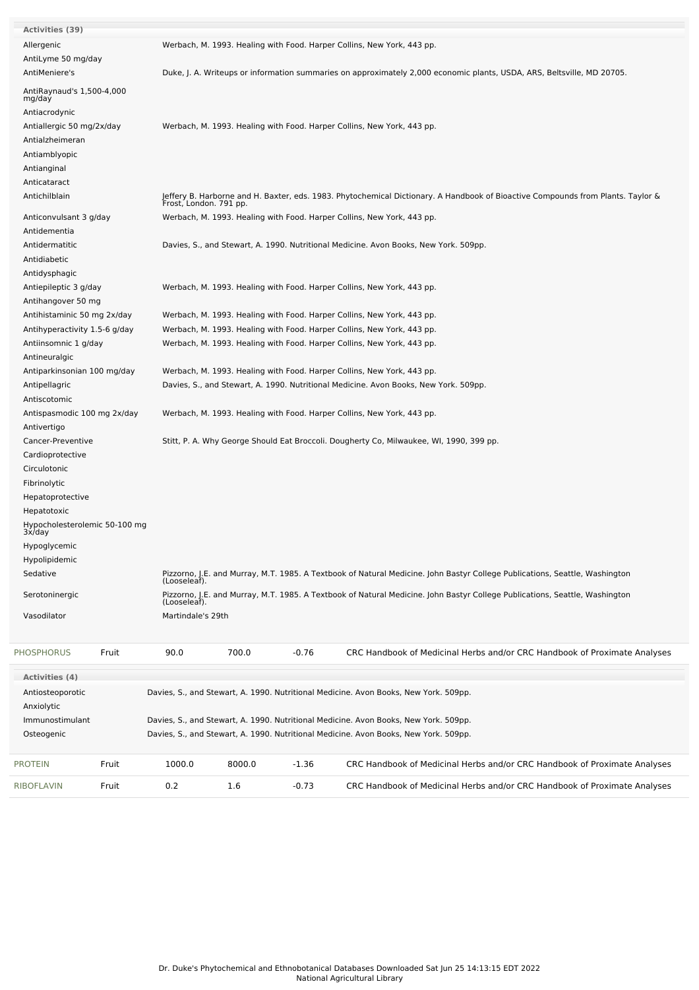| <b>Activities (39)</b>                                                                                      |  |                        |                                                                                                                                             |         |                                                                                                                                 |  |  |  |  |  |
|-------------------------------------------------------------------------------------------------------------|--|------------------------|---------------------------------------------------------------------------------------------------------------------------------------------|---------|---------------------------------------------------------------------------------------------------------------------------------|--|--|--|--|--|
| Allergenic                                                                                                  |  |                        |                                                                                                                                             |         | Werbach, M. 1993. Healing with Food. Harper Collins, New York, 443 pp.                                                          |  |  |  |  |  |
| AntiLyme 50 mg/day                                                                                          |  |                        |                                                                                                                                             |         |                                                                                                                                 |  |  |  |  |  |
| AntiMeniere's                                                                                               |  |                        |                                                                                                                                             |         | Duke, J. A. Writeups or information summaries on approximately 2,000 economic plants, USDA, ARS, Beltsville, MD 20705.          |  |  |  |  |  |
| AntiRaynaud's 1,500-4,000<br>mg/day<br>Antiacrodynic                                                        |  |                        |                                                                                                                                             |         |                                                                                                                                 |  |  |  |  |  |
| Antiallergic 50 mg/2x/day                                                                                   |  |                        |                                                                                                                                             |         | Werbach, M. 1993. Healing with Food. Harper Collins, New York, 443 pp.                                                          |  |  |  |  |  |
| Antialzheimeran                                                                                             |  |                        |                                                                                                                                             |         |                                                                                                                                 |  |  |  |  |  |
| Antiamblyopic                                                                                               |  |                        |                                                                                                                                             |         |                                                                                                                                 |  |  |  |  |  |
| Antianginal                                                                                                 |  |                        |                                                                                                                                             |         |                                                                                                                                 |  |  |  |  |  |
| Anticataract                                                                                                |  |                        |                                                                                                                                             |         |                                                                                                                                 |  |  |  |  |  |
| Antichilblain                                                                                               |  | Frost, London. 791 pp. |                                                                                                                                             |         | Jeffery B. Harborne and H. Baxter, eds. 1983. Phytochemical Dictionary. A Handbook of Bioactive Compounds from Plants. Taylor & |  |  |  |  |  |
| Anticonvulsant 3 g/day                                                                                      |  |                        |                                                                                                                                             |         | Werbach, M. 1993. Healing with Food. Harper Collins, New York, 443 pp.                                                          |  |  |  |  |  |
| Antidementia                                                                                                |  |                        |                                                                                                                                             |         |                                                                                                                                 |  |  |  |  |  |
| Antidermatitic                                                                                              |  |                        |                                                                                                                                             |         | Davies, S., and Stewart, A. 1990. Nutritional Medicine. Avon Books, New York. 509pp.                                            |  |  |  |  |  |
| Antidiabetic                                                                                                |  |                        |                                                                                                                                             |         |                                                                                                                                 |  |  |  |  |  |
| Antidysphagic                                                                                               |  |                        |                                                                                                                                             |         |                                                                                                                                 |  |  |  |  |  |
|                                                                                                             |  |                        |                                                                                                                                             |         | Werbach, M. 1993. Healing with Food. Harper Collins, New York, 443 pp.                                                          |  |  |  |  |  |
|                                                                                                             |  |                        |                                                                                                                                             |         |                                                                                                                                 |  |  |  |  |  |
| Antiepileptic 3 g/day<br>Antihangover 50 mg<br>Antihistaminic 50 mg 2x/day<br>Antihyperactivity 1.5-6 g/day |  |                        |                                                                                                                                             |         | Werbach, M. 1993. Healing with Food. Harper Collins, New York, 443 pp.                                                          |  |  |  |  |  |
|                                                                                                             |  |                        |                                                                                                                                             |         | Werbach, M. 1993. Healing with Food. Harper Collins, New York, 443 pp.                                                          |  |  |  |  |  |
| Antiinsomnic 1 g/day                                                                                        |  |                        |                                                                                                                                             |         | Werbach, M. 1993. Healing with Food. Harper Collins, New York, 443 pp.                                                          |  |  |  |  |  |
| Antineuralgic                                                                                               |  |                        |                                                                                                                                             |         |                                                                                                                                 |  |  |  |  |  |
| Antiparkinsonian 100 mg/day                                                                                 |  |                        |                                                                                                                                             |         | Werbach, M. 1993. Healing with Food. Harper Collins, New York, 443 pp.                                                          |  |  |  |  |  |
| Antipellagric                                                                                               |  |                        |                                                                                                                                             |         | Davies, S., and Stewart, A. 1990. Nutritional Medicine. Avon Books, New York. 509pp.                                            |  |  |  |  |  |
| Antiscotomic                                                                                                |  |                        |                                                                                                                                             |         |                                                                                                                                 |  |  |  |  |  |
| Antispasmodic 100 mg 2x/day                                                                                 |  |                        |                                                                                                                                             |         | Werbach, M. 1993. Healing with Food. Harper Collins, New York, 443 pp.                                                          |  |  |  |  |  |
| Antivertigo                                                                                                 |  |                        |                                                                                                                                             |         |                                                                                                                                 |  |  |  |  |  |
| Cancer-Preventive                                                                                           |  |                        |                                                                                                                                             |         | Stitt, P. A. Why George Should Eat Broccoli. Dougherty Co, Milwaukee, WI, 1990, 399 pp.                                         |  |  |  |  |  |
| Cardioprotective                                                                                            |  |                        |                                                                                                                                             |         |                                                                                                                                 |  |  |  |  |  |
| Circulotonic                                                                                                |  |                        |                                                                                                                                             |         |                                                                                                                                 |  |  |  |  |  |
|                                                                                                             |  |                        |                                                                                                                                             |         |                                                                                                                                 |  |  |  |  |  |
| Fibrinolytic                                                                                                |  |                        |                                                                                                                                             |         |                                                                                                                                 |  |  |  |  |  |
| Hepatoprotective                                                                                            |  |                        |                                                                                                                                             |         |                                                                                                                                 |  |  |  |  |  |
| Hepatotoxic                                                                                                 |  |                        |                                                                                                                                             |         |                                                                                                                                 |  |  |  |  |  |
| Hypocholesterolemic 50-100 mg<br>3x/day                                                                     |  |                        |                                                                                                                                             |         |                                                                                                                                 |  |  |  |  |  |
| Hypoglycemic                                                                                                |  |                        |                                                                                                                                             |         |                                                                                                                                 |  |  |  |  |  |
| Hypolipidemic                                                                                               |  |                        |                                                                                                                                             |         |                                                                                                                                 |  |  |  |  |  |
| Sedative                                                                                                    |  |                        | Pizzorno, J.E. and Murray, M.T. 1985. A Textbook of Natural Medicine. John Bastyr College Publications, Seattle, Washington<br>(Looseleaf). |         |                                                                                                                                 |  |  |  |  |  |
| Serotoninergic                                                                                              |  | (Looseleaf).           |                                                                                                                                             |         | Pizzorno, J.E. and Murray, M.T. 1985. A Textbook of Natural Medicine. John Bastyr College Publications, Seattle, Washington     |  |  |  |  |  |
| Vasodilator                                                                                                 |  | Martindale's 29th      |                                                                                                                                             |         |                                                                                                                                 |  |  |  |  |  |
| <b>PHOSPHORUS</b><br>Fruit                                                                                  |  | 90.0                   | 700.0                                                                                                                                       | $-0.76$ | CRC Handbook of Medicinal Herbs and/or CRC Handbook of Proximate Analyses                                                       |  |  |  |  |  |
| Activities (4)                                                                                              |  |                        |                                                                                                                                             |         |                                                                                                                                 |  |  |  |  |  |
|                                                                                                             |  |                        |                                                                                                                                             |         |                                                                                                                                 |  |  |  |  |  |
| Antiosteoporotic                                                                                            |  |                        |                                                                                                                                             |         | Davies, S., and Stewart, A. 1990. Nutritional Medicine. Avon Books, New York. 509pp.                                            |  |  |  |  |  |
| Anxiolytic                                                                                                  |  |                        |                                                                                                                                             |         |                                                                                                                                 |  |  |  |  |  |
| Immunostimulant                                                                                             |  |                        |                                                                                                                                             |         | Davies, S., and Stewart, A. 1990. Nutritional Medicine. Avon Books, New York. 509pp.                                            |  |  |  |  |  |
| Osteogenic                                                                                                  |  |                        |                                                                                                                                             |         | Davies, S., and Stewart, A. 1990. Nutritional Medicine. Avon Books, New York. 509pp.                                            |  |  |  |  |  |
| <b>PROTEIN</b><br>Fruit                                                                                     |  | 1000.0                 | 8000.0                                                                                                                                      | $-1.36$ | CRC Handbook of Medicinal Herbs and/or CRC Handbook of Proximate Analyses                                                       |  |  |  |  |  |
| RIBOFLAVIN<br>Fruit                                                                                         |  | 0.2                    | 1.6                                                                                                                                         | $-0.73$ | CRC Handbook of Medicinal Herbs and/or CRC Handbook of Proximate Analyses                                                       |  |  |  |  |  |